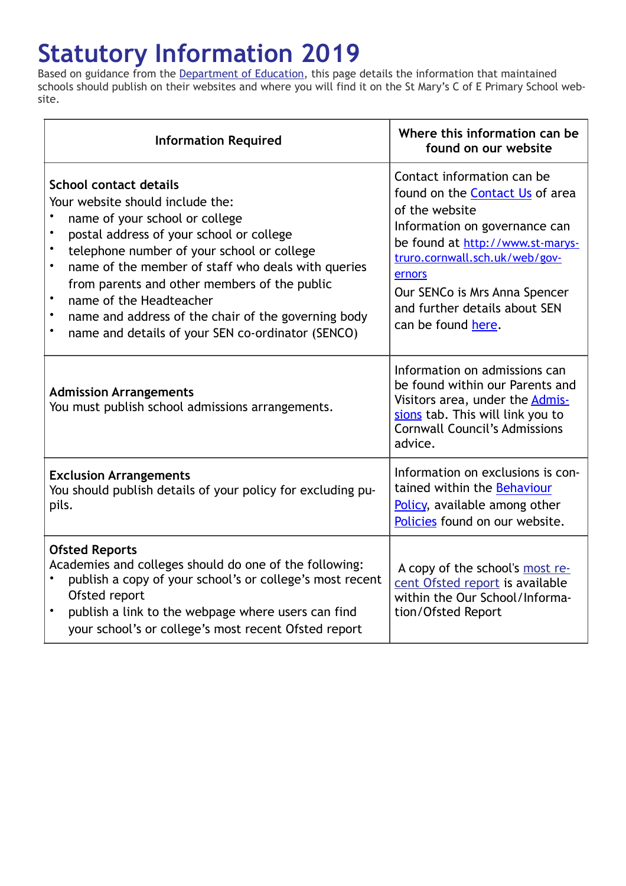## **Statutory Information 2019**

Based on guidance from the [Department of Education,](https://www.gov.uk/government/organisations/department-for-education) this page details the information that maintained schools should publish on their websites and where you will find it on the St Mary's C of E Primary School website.

| <b>Information Required</b>                                                                                                                                                                                                                                                                                                                                                                                                                                          | Where this information can be<br>found on our website                                                                                                                                                                                                                                    |
|----------------------------------------------------------------------------------------------------------------------------------------------------------------------------------------------------------------------------------------------------------------------------------------------------------------------------------------------------------------------------------------------------------------------------------------------------------------------|------------------------------------------------------------------------------------------------------------------------------------------------------------------------------------------------------------------------------------------------------------------------------------------|
| <b>School contact details</b><br>Your website should include the:<br>name of your school or college<br>postal address of your school or college<br>telephone number of your school or college<br>name of the member of staff who deals with queries<br>from parents and other members of the public<br>name of the Headteacher<br>$\bullet$<br>name and address of the chair of the governing body<br>$\bullet$<br>name and details of your SEN co-ordinator (SENCO) | Contact information can be<br>found on the Contact Us of area<br>of the website<br>Information on governance can<br>be found at http://www.st-marys-<br>truro.cornwall.sch.uk/web/gov-<br>ernors<br>Our SENCo is Mrs Anna Spencer<br>and further details about SEN<br>can be found here. |
| <b>Admission Arrangements</b><br>You must publish school admissions arrangements.                                                                                                                                                                                                                                                                                                                                                                                    | Information on admissions can<br>be found within our Parents and<br>Visitors area, under the <b>Admis-</b><br>sions tab. This will link you to<br><b>Cornwall Council's Admissions</b><br>advice.                                                                                        |
| <b>Exclusion Arrangements</b><br>You should publish details of your policy for excluding pu-<br>pils.                                                                                                                                                                                                                                                                                                                                                                | Information on exclusions is con-<br>tained within the Behaviour<br>Policy, available among other<br>Policies found on our website.                                                                                                                                                      |
| <b>Ofsted Reports</b><br>Academies and colleges should do one of the following:<br>publish a copy of your school's or college's most recent<br>Ofsted report<br>publish a link to the webpage where users can find<br>$\bullet$<br>your school's or college's most recent Ofsted report                                                                                                                                                                              | A copy of the school's most re-<br>cent Ofsted report is available<br>within the Our School/Informa-<br>tion/Ofsted Report                                                                                                                                                               |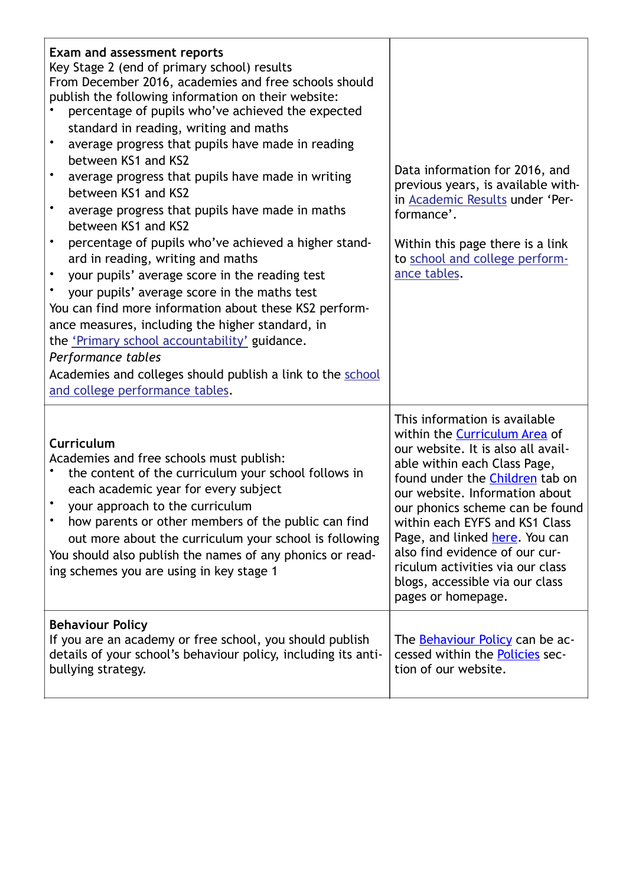| <b>Exam and assessment reports</b><br>Key Stage 2 (end of primary school) results<br>From December 2016, academies and free schools should<br>publish the following information on their website:<br>percentage of pupils who've achieved the expected<br>standard in reading, writing and maths<br>average progress that pupils have made in reading<br>$\bullet$<br>between KS1 and KS2<br>average progress that pupils have made in writing<br>between KS1 and KS2<br>average progress that pupils have made in maths<br>between KS1 and KS2<br>percentage of pupils who've achieved a higher stand-<br>ard in reading, writing and maths<br>your pupils' average score in the reading test<br>your pupils' average score in the maths test<br>You can find more information about these KS2 perform-<br>ance measures, including the higher standard, in<br>the 'Primary school accountability' guidance.<br>Performance tables<br>Academies and colleges should publish a link to the school<br>and college performance tables. | Data information for 2016, and<br>previous years, is available with-<br>in Academic Results under 'Per-<br>formance'.<br>Within this page there is a link<br>to school and college perform-<br>ance tables.                                                                                                                                                                                                                                                   |
|--------------------------------------------------------------------------------------------------------------------------------------------------------------------------------------------------------------------------------------------------------------------------------------------------------------------------------------------------------------------------------------------------------------------------------------------------------------------------------------------------------------------------------------------------------------------------------------------------------------------------------------------------------------------------------------------------------------------------------------------------------------------------------------------------------------------------------------------------------------------------------------------------------------------------------------------------------------------------------------------------------------------------------------|---------------------------------------------------------------------------------------------------------------------------------------------------------------------------------------------------------------------------------------------------------------------------------------------------------------------------------------------------------------------------------------------------------------------------------------------------------------|
| Curriculum<br>Academies and free schools must publish:<br>the content of the curriculum your school follows in<br>each academic year for every subject<br>your approach to the curriculum<br>how parents or other members of the public can find<br>out more about the curriculum your school is following<br>You should also publish the names of any phonics or read-<br>ing schemes you are using in key stage 1                                                                                                                                                                                                                                                                                                                                                                                                                                                                                                                                                                                                                  | This information is available<br>within the <b>Curriculum Area</b> of<br>our website. It is also all avail-<br>able within each Class Page,<br>found under the <i>Children</i> tab on<br>our website. Information about<br>our phonics scheme can be found<br>within each EYFS and KS1 Class<br>Page, and linked here. You can<br>also find evidence of our cur-<br>riculum activities via our class<br>blogs, accessible via our class<br>pages or homepage. |
| <b>Behaviour Policy</b><br>If you are an academy or free school, you should publish<br>details of your school's behaviour policy, including its anti-<br>bullying strategy.                                                                                                                                                                                                                                                                                                                                                                                                                                                                                                                                                                                                                                                                                                                                                                                                                                                          | The <u>Behaviour Policy</u> can be ac-<br>cessed within the Policies sec-<br>tion of our website.                                                                                                                                                                                                                                                                                                                                                             |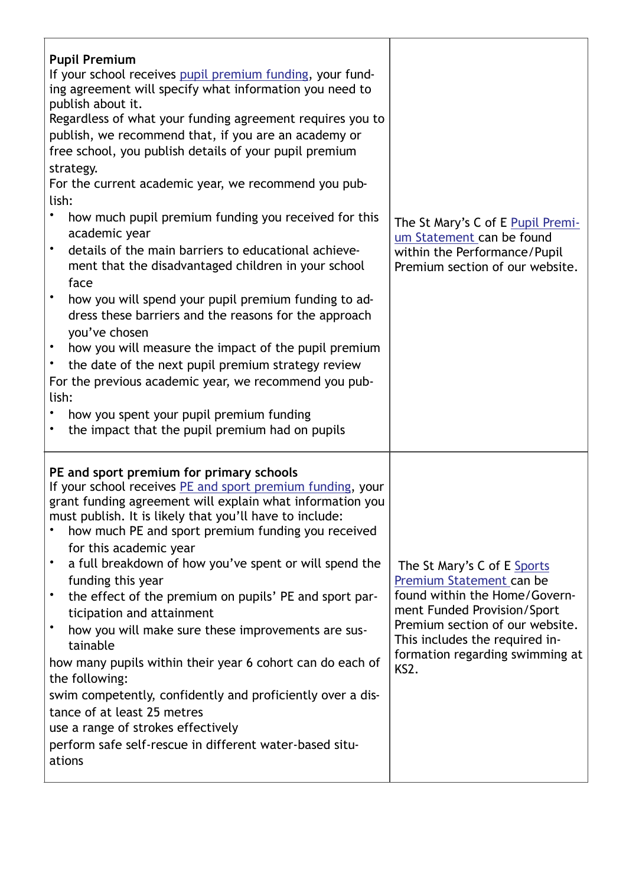| <b>Pupil Premium</b><br>If your school receives pupil premium funding, your fund-<br>ing agreement will specify what information you need to<br>publish about it.<br>Regardless of what your funding agreement requires you to<br>publish, we recommend that, if you are an academy or<br>free school, you publish details of your pupil premium<br>strategy.<br>For the current academic year, we recommend you pub-<br>lish:<br>how much pupil premium funding you received for this<br>academic year<br>$\bullet$<br>details of the main barriers to educational achieve-<br>ment that the disadvantaged children in your school<br>face<br>how you will spend your pupil premium funding to ad-<br>dress these barriers and the reasons for the approach<br>you've chosen<br>how you will measure the impact of the pupil premium<br>the date of the next pupil premium strategy review<br>$\bullet$<br>For the previous academic year, we recommend you pub-<br>lish:<br>how you spent your pupil premium funding | The St Mary's C of E Pupil Premi-<br>um Statement can be found<br>within the Performance/Pupil<br>Premium section of our website.                                                                                                       |
|------------------------------------------------------------------------------------------------------------------------------------------------------------------------------------------------------------------------------------------------------------------------------------------------------------------------------------------------------------------------------------------------------------------------------------------------------------------------------------------------------------------------------------------------------------------------------------------------------------------------------------------------------------------------------------------------------------------------------------------------------------------------------------------------------------------------------------------------------------------------------------------------------------------------------------------------------------------------------------------------------------------------|-----------------------------------------------------------------------------------------------------------------------------------------------------------------------------------------------------------------------------------------|
| the impact that the pupil premium had on pupils<br>PE and sport premium for primary schools<br>If your school receives PE and sport premium funding, your<br>grant funding agreement will explain what information you<br>must publish. It is likely that you'll have to include:<br>how much PE and sport premium funding you received<br>for this academic year<br>a full breakdown of how you've spent or will spend the<br>$\bullet$<br>funding this year<br>the effect of the premium on pupils' PE and sport par-<br>$\bullet$<br>ticipation and attainment<br>how you will make sure these improvements are sus-<br>tainable<br>how many pupils within their year 6 cohort can do each of<br>the following:<br>swim competently, confidently and proficiently over a dis-<br>tance of at least 25 metres<br>use a range of strokes effectively<br>perform safe self-rescue in different water-based situ-<br>ations                                                                                             | The St Mary's C of E Sports<br>Premium Statement can be<br>found within the Home/Govern-<br>ment Funded Provision/Sport<br>Premium section of our website.<br>This includes the required in-<br>formation regarding swimming at<br>KS2. |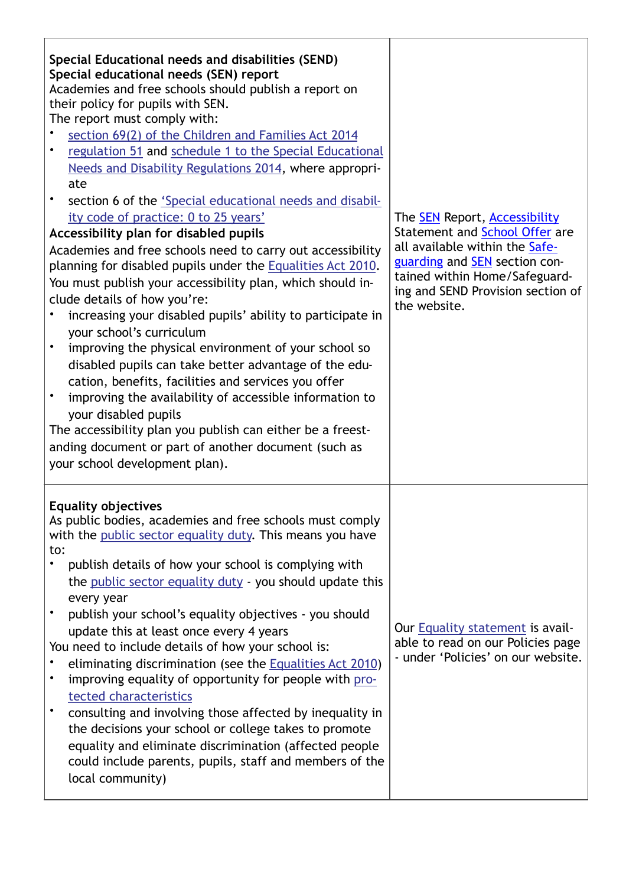| Special Educational needs and disabilities (SEND)<br>Special educational needs (SEN) report<br>Academies and free schools should publish a report on<br>their policy for pupils with SEN.<br>The report must comply with:<br>section 69(2) of the Children and Families Act 2014<br>regulation 51 and schedule 1 to the Special Educational<br>Needs and Disability Regulations 2014, where appropri-<br>ate<br>section 6 of the 'Special educational needs and disabil-<br>ity code of practice: 0 to 25 years'<br>Accessibility plan for disabled pupils<br>Academies and free schools need to carry out accessibility<br>planning for disabled pupils under the Equalities Act 2010.<br>You must publish your accessibility plan, which should in-<br>clude details of how you're:<br>increasing your disabled pupils' ability to participate in<br>your school's curriculum<br>improving the physical environment of your school so<br>$\bullet$<br>disabled pupils can take better advantage of the edu-<br>cation, benefits, facilities and services you offer<br>improving the availability of accessible information to<br>$\bullet$<br>your disabled pupils<br>The accessibility plan you publish can either be a freest-<br>anding document or part of another document (such as<br>your school development plan). | The <b>SEN</b> Report, <b>Accessibility</b><br>Statement and School Offer are<br>all available within the Safe-<br>guarding and <b>SEN</b> section con-<br>tained within Home/Safeguard-<br>ing and SEND Provision section of<br>the website. |
|------------------------------------------------------------------------------------------------------------------------------------------------------------------------------------------------------------------------------------------------------------------------------------------------------------------------------------------------------------------------------------------------------------------------------------------------------------------------------------------------------------------------------------------------------------------------------------------------------------------------------------------------------------------------------------------------------------------------------------------------------------------------------------------------------------------------------------------------------------------------------------------------------------------------------------------------------------------------------------------------------------------------------------------------------------------------------------------------------------------------------------------------------------------------------------------------------------------------------------------------------------------------------------------------------------------------------|-----------------------------------------------------------------------------------------------------------------------------------------------------------------------------------------------------------------------------------------------|
| <b>Equality objectives</b><br>As public bodies, academies and free schools must comply<br>with the public sector equality duty. This means you have<br>to:<br>publish details of how your school is complying with<br>the public sector equality duty - you should update this<br>every year<br>publish your school's equality objectives - you should<br>update this at least once every 4 years<br>You need to include details of how your school is:<br>eliminating discrimination (see the Equalities Act 2010)<br>improving equality of opportunity for people with pro-<br>tected characteristics<br>consulting and involving those affected by inequality in<br>the decisions your school or college takes to promote<br>equality and eliminate discrimination (affected people<br>could include parents, pupils, staff and members of the<br>local community)                                                                                                                                                                                                                                                                                                                                                                                                                                                        | Our Equality statement is avail-<br>able to read on our Policies page<br>- under 'Policies' on our website.                                                                                                                                   |